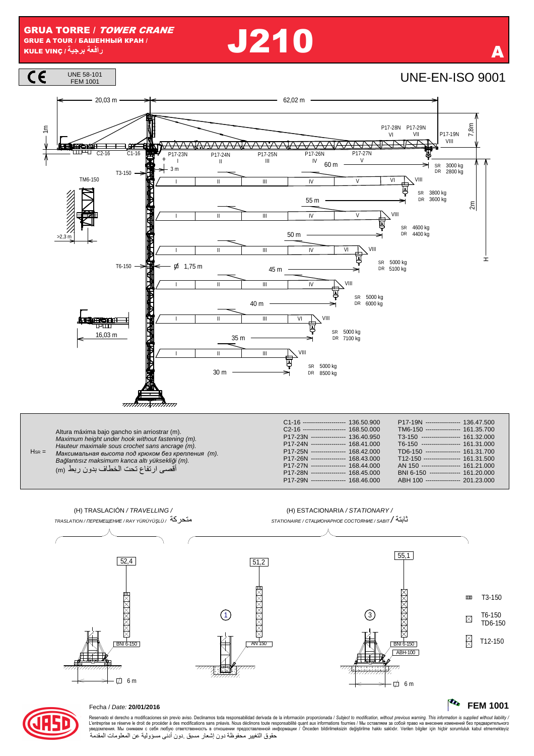**J210** 





**The FEM 1001** 

 $\mathbf{m}$ 

 $\boxtimes$ 

 $\boxtimes$ 

T3-150

T6-150

TD6-150

T12-150

**XXXXXXXXX** 

 $RNI6-150$ 

 $\overrightarrow{a}$  6 m

ABH-100

 $\binom{3}{3}$ 

,,,,,,,,,,,<br>,,,,,,,,,,,,



## Fecha / Date: 20/01/2016

Reservado el derecho a modificaciones sin previo aviso. Declinamos toda responsabilidad derivada de la información proporcionada / Subject to modification, without previous warning. This information is supplied without li حقوق التغيير محفوظة دون إشعار مسبق دون أدنى مسؤولية عن المعلومات المقدمة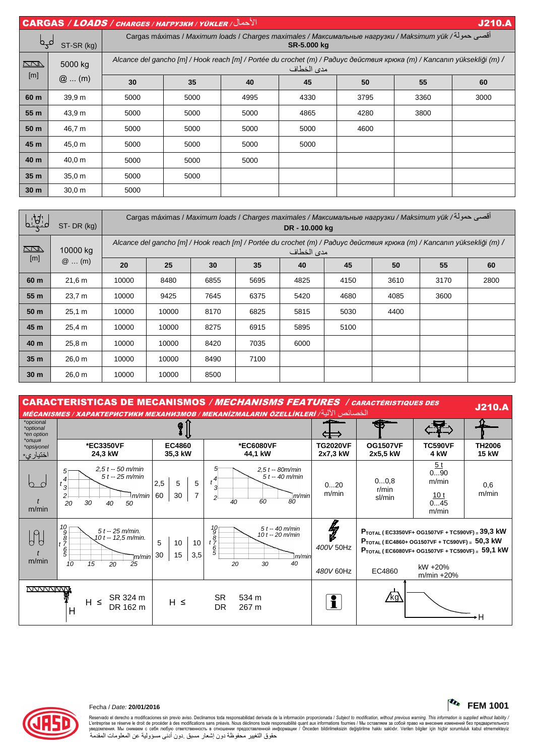|                 | الأحمال/ CARGAS / LOADS / CHARGES / HAFPY3KW / YÜKLER<br><b>J210.A</b> |                                                                                                                                       |      |      |      |      |      |      |  |  |  |
|-----------------|------------------------------------------------------------------------|---------------------------------------------------------------------------------------------------------------------------------------|------|------|------|------|------|------|--|--|--|
| لمہا            | ST-SR (kg)                                                             | أقصى حمولة/ Cargas máximas / Maximum loads / Charges maximales / Максимальные нагрузки / Maksimum yük<br>SR-5.000 kg                  |      |      |      |      |      |      |  |  |  |
| $\sqrt{2}$      | 5000 kg<br>$@$ (m)                                                     | Alcance del gancho [m] / Hook reach [m] / Portée du crochet (m) / Радиус действия крюка (m) / Kancanın yüksekliği (m) /<br>مدى الخطاف |      |      |      |      |      |      |  |  |  |
| [m]             |                                                                        | 30                                                                                                                                    | 35   | 40   | 45   | 50   | 55   | 60   |  |  |  |
| 60 m            | 39.9 <sub>m</sub>                                                      | 5000                                                                                                                                  | 5000 | 4995 | 4330 | 3795 | 3360 | 3000 |  |  |  |
| 55 m            | 43,9 m                                                                 | 5000                                                                                                                                  | 5000 | 5000 | 4865 | 4280 | 3800 |      |  |  |  |
| 50 m            | 46,7 m                                                                 | 5000                                                                                                                                  | 5000 | 5000 | 5000 | 4600 |      |      |  |  |  |
| 45 m            | 45,0 m                                                                 | 5000                                                                                                                                  | 5000 | 5000 | 5000 |      |      |      |  |  |  |
| 40 m            | 40,0 m                                                                 | 5000                                                                                                                                  | 5000 | 5000 |      |      |      |      |  |  |  |
| 35 <sub>m</sub> | 35.0 m                                                                 | 5000                                                                                                                                  | 5000 |      |      |      |      |      |  |  |  |
| 30 <sub>m</sub> | 30.0 m                                                                 | 5000                                                                                                                                  |      |      |      |      |      |      |  |  |  |

| <u>Lidi</u>     | ST-DR (kg)          | أقصى حمولة/ Cargas máximas / Maximum loads / Charges maximales / Максимальные нагрузки / Maksimum yük<br>DR - 10.000 kg               |       |      |      |      |      |      |      |      |  |  |
|-----------------|---------------------|---------------------------------------------------------------------------------------------------------------------------------------|-------|------|------|------|------|------|------|------|--|--|
| $\Box$          | 10000 kg<br>$@$ (m) | Alcance del gancho [m] / Hook reach [m] / Portée du crochet (m) / Paðuyc действия крюка (m) / Kancanın yüksekliği (m) /<br>مدى الخطاف |       |      |      |      |      |      |      |      |  |  |
| [m]             |                     | 20                                                                                                                                    | 25    | 30   | 35   | 40   | 45   | 50   | 55   | 60   |  |  |
| 60 m            | 21,6 m              | 10000                                                                                                                                 | 8480  | 6855 | 5695 | 4825 | 4150 | 3610 | 3170 | 2800 |  |  |
| 55 m            | 23,7 m              | 10000                                                                                                                                 | 9425  | 7645 | 6375 | 5420 | 4680 | 4085 | 3600 |      |  |  |
| 50 <sub>m</sub> | 25,1 m              | 10000                                                                                                                                 | 10000 | 8170 | 6825 | 5815 | 5030 | 4400 |      |      |  |  |
| 45 m            | 25,4 m              | 10000                                                                                                                                 | 10000 | 8275 | 6915 | 5895 | 5100 |      |      |      |  |  |
| 40 m            | 25,8 m              | 10000                                                                                                                                 | 10000 | 8420 | 7035 | 6000 |      |      |      |      |  |  |
| 35 <sub>m</sub> | 26.0 m              | 10000                                                                                                                                 | 10000 | 8490 | 7100 |      |      |      |      |      |  |  |
| 30 <sub>m</sub> | 26,0 m              | 10000                                                                                                                                 | 10000 | 8500 |      |      |      |      |      |      |  |  |

| <b>CARACTERISTICAS DE MECANISMOS / MECHANISMS FEATURES / CARACTÉRISTIQUES DES</b><br><b>J210.A</b><br>الخصائص الآلية/ MÉCANISMES / ХАРАКТЕРИСТИКИ МЕХАНИЗМОВ / МЕКАNIZMALARIN ÖZELLİKLERİ |                                                                                                                        |                                               |                                                                                                           |                             |                                                                       |                                                                                                                                                      |                               |  |  |
|-------------------------------------------------------------------------------------------------------------------------------------------------------------------------------------------|------------------------------------------------------------------------------------------------------------------------|-----------------------------------------------|-----------------------------------------------------------------------------------------------------------|-----------------------------|-----------------------------------------------------------------------|------------------------------------------------------------------------------------------------------------------------------------------------------|-------------------------------|--|--|
| *opcional<br>*optional<br>*en option                                                                                                                                                      |                                                                                                                        | Ø                                             |                                                                                                           |                             |                                                                       |                                                                                                                                                      |                               |  |  |
| *опция<br>*opsiyonel<br>اختيار ي*                                                                                                                                                         | *EC3350VF<br>24,3 kW                                                                                                   | <b>EC4860</b><br>35,3 kW                      | *EC6080VF<br>44,1 kW                                                                                      | <b>TG2020VF</b><br>2x7,3 kW | <b>OG1507VF</b><br>2x5.5 kW                                           | <b>TC590VF</b><br>4 kW                                                                                                                               | <b>TH2006</b><br><b>15 kW</b> |  |  |
| m/min                                                                                                                                                                                     | $2.5 t - 50 m/min$<br>5<br>$5t - 25$ m/min<br>4<br>$t_{3}$<br>m/min<br>$\mathfrak{p}$<br>20<br>30<br>40<br>50          | 5<br>2,5<br>5<br>60<br>30<br>7                | $2,5t - 80m/min$<br>$5t - 40$ m/min<br>$t^{4^+}$<br>m/min<br>2<br>60<br>80<br>40                          | 020<br>m/min                | 00,8<br>r/min<br>sl/min                                               | 5t<br>090<br>m/min<br>10 <sub>t</sub><br>045<br>m/min                                                                                                | 0,6<br>m/min                  |  |  |
| m/min                                                                                                                                                                                     | 10<br>$5t - 25$ m/min.<br>9<br>10 t -- 12,5 m/min.<br>$\frac{8}{t}$<br>$\frac{6}{5}$<br>`m/min<br>10<br>20<br>25<br>15 | 5<br>10 <sup>1</sup><br>10<br>15<br>30<br>3,5 | $5t - 40$ m/min<br>1G<br>9<br>10 $t - 20$ m/min<br>$t^{\frac{8}{7}}$<br>6<br>5<br>m/min<br>20<br>30<br>40 | ł<br>400V 50Hz<br>480V 60Hz | $P_{\text{TOTAL}}$ (EC3350VF+ OG1507VF + TC590VF) = 39,3 kW<br>EC4860 | $P_{\text{TOTAL}}$ (EC4860+ OG1507VF + TC590VF) = 50,3 kW<br>$P_{\text{TOTAL}}$ (EC6080VF+ OG1507VF + TC590VF) = 59,1 kW<br>kW +20%<br>$m/min + 20%$ |                               |  |  |
| <b>NANANINANI</b>                                                                                                                                                                         | SR 324 m<br>H.<br>≤<br>DR 162 m<br>Н                                                                                   | $H \leq$                                      | <b>SR</b><br>534 m<br><b>DR</b><br>267 m                                                                  |                             | /kg\                                                                  |                                                                                                                                                      | ۶H                            |  |  |



## Fecha / Date: **20/01/2016 FEM 1001**

Reservado el derecho a modificaciones sin previo aviso. Declinamos toda responsabilidad derivada de la información proporcionada / Subjec*t to modification, without previous warning. This information is supplied without*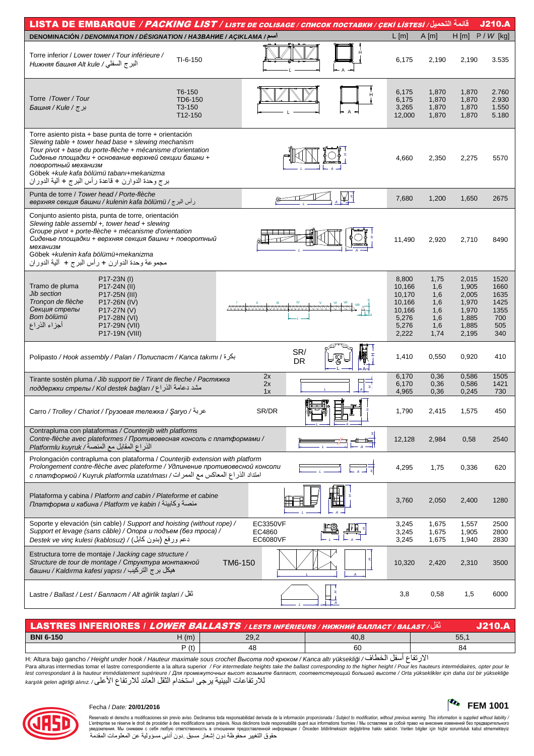| قائمة التحميل/ LISTA DE EMBARQUE / PACKING LIST / LISTE DE COLISAGE / CПИСОК ПОСТАВКИ / ÇEKİ LISTESİ<br><b>J210.A</b>                                                                                                                                                                                                                                            |                                        |         |                                |  |           |                                                                          |                                                        |                                                                      |                                                           |
|------------------------------------------------------------------------------------------------------------------------------------------------------------------------------------------------------------------------------------------------------------------------------------------------------------------------------------------------------------------|----------------------------------------|---------|--------------------------------|--|-----------|--------------------------------------------------------------------------|--------------------------------------------------------|----------------------------------------------------------------------|-----------------------------------------------------------|
| اسم/ DENOMINACIÓN / DENOMINATION / DÉSIGNATION / HA3BAHUE / AÇIKLAMA                                                                                                                                                                                                                                                                                             |                                        |         |                                |  |           | $L$ [m]                                                                  | A[m]                                                   | $H$ [m]                                                              | $P / W$ [kg]                                              |
| Torre inferior / Lower tower / Tour inférieure /<br>البرج السفلي/ Нижняя башня Alt kule                                                                                                                                                                                                                                                                          | $TI-6-150$                             |         |                                |  |           | 6,175                                                                    | 2,190                                                  | 2,190                                                                | 3.535                                                     |
| Torre /Tower/Tour<br>برج/ Башня / Киle /                                                                                                                                                                                                                                                                                                                         | T6-150<br>TD6-150<br>T3-150<br>T12-150 |         |                                |  |           | 6,175<br>6,175<br>3,265<br>12,000                                        | 1,870<br>1,870<br>1,870<br>1,870                       | 1,870<br>1,870<br>1,870<br>1,870                                     | 2.760<br>2.930<br>1.550<br>5.180                          |
| Torre asiento pista + base punta de torre + orientación<br>Slewing table $+$ tower head base $+$ slewing mechanism<br>Tour pivot + base du porte-flèche + mécanisme d'orientation<br>Сиденье площадки + основание верхней секции башни +<br>поворотный механизм<br>Göbek +kule kafa bölümü tabanı+mekanizma<br>برج وحدة الدوارن + قاعدة رأس البرج + ألية الدوران |                                        |         |                                |  |           | 4,660                                                                    | 2,350                                                  | 2,275                                                                | 5570                                                      |
| Punta de torre / Tower head / Porte-flèche<br>وأس البرج / верхняя секция башни / kulenin kafa bölümü                                                                                                                                                                                                                                                             |                                        |         |                                |  |           | 7,680                                                                    | 1,200                                                  | 1,650                                                                | 2675                                                      |
| Conjunto asiento pista, punta de torre, orientación<br>Slewing table assembl +, tower head + slewing<br>Groupe pivot + porte-flèche + mécanisme d'orientation<br>Сиденье площадки + верхняя секция башни + поворотный<br>механизм<br>Göbek +kulenin kafa bölümü+mekanizma<br>مجموعة وحدة الدوارن + رأس البرج + ۖ ألية الدوران                                    |                                        |         |                                |  |           | 11,490                                                                   | 2,920                                                  | 2,710                                                                | 8490                                                      |
| P17-23N (I)<br>Tramo de pluma<br>P17-24N (II)<br>Jib section<br>P17-25N (III)<br>Tronçon de flèche<br>P17-26N (IV)<br>Секция стрелы<br>P17-27N (V)<br>Bom bölümü<br>P17-28N (VI)<br>أجزاء الذراع<br>P17-29N (VII)<br>P17-19N (VIII)                                                                                                                              |                                        |         | <b>windownwwwwwwww</b>         |  |           | 8,800<br>10,166<br>10,170<br>10,166<br>10,166<br>5,276<br>5,276<br>2,222 | 1,75<br>1,6<br>1,6<br>1,6<br>1,6<br>1,6<br>1,6<br>1,74 | 2,015<br>1,905<br>2,005<br>1,970<br>1,970<br>1,885<br>1,885<br>2,195 | 1520<br>1660<br>1635<br>1425<br>1355<br>700<br>505<br>340 |
| بكرة / Polipasto / Hook assembly / Palan / Полиспаст / Kanca takımı                                                                                                                                                                                                                                                                                              |                                        |         | SR/<br><b>DR</b>               |  |           | 1,410                                                                    | 0,550                                                  | 0,920                                                                | 410                                                       |
| Tirante sostén pluma / Jib support tie / Tirant de fleche / Растяжка<br>поддержки стрелы / Kol destek bağları / عامة الذراع/                                                                                                                                                                                                                                     |                                        |         | 2x<br>2x<br>1x                 |  |           | 6,170<br>6,170<br>4,965                                                  | 0,36<br>0,36<br>0,36                                   | 0,586<br>0,586<br>0,245                                              | 1505<br>1421<br>730                                       |
| عربة/ Carro / Trolley / Chariot / Грузовая тележка / Saryo / عربة                                                                                                                                                                                                                                                                                                |                                        |         | SR/DR                          |  |           | 1,790                                                                    | 2,415                                                  | 1,575                                                                | 450                                                       |
| Contrapluma con plataformas / Counterjib with platforms<br>Contre-flèche avec plateformes / Противовесная консоль с платформами /<br>الذراع المقابل مع المنصة/ Platformlu kuyruk                                                                                                                                                                                 |                                        |         |                                |  |           | 12,128                                                                   | 2,984                                                  | 0,58                                                                 | 2540                                                      |
| Prolongación contrapluma con plataforma / Counterjib extension with platform<br>Prolongement contre-flèche avec plateforme / Удлинение противовесной консоли<br>с платформой / Kuyruk platformla uzatılması / امتداد الذراع المعاكس مع الممرات/                                                                                                                  |                                        |         |                                |  |           | 4,295                                                                    | 1,75                                                   | 0,336                                                                | 620                                                       |
| Plataforma y cabina / Platform and cabin / Plateforme et cabine<br>ллатформа и кабина / Platform ve kabin / منصة وكابينة                                                                                                                                                                                                                                         |                                        |         |                                |  |           | 3,760                                                                    | 2,050                                                  | 2,400                                                                | 1280                                                      |
| Soporte y elevación (sin cable) / Support and hoisting (without rope) /<br>Support et levage (sans câble) / Опора и подъем (без троса) /<br>دعم ورفع (بدون كابل) / Destek ve vinç kulesi (kablosuz)                                                                                                                                                              |                                        |         | EC3350VF<br>EC4860<br>EC6080VF |  |           | 3,245<br>3,245<br>3,245                                                  | 1,675<br>1,675<br>1,675                                | 1,557<br>1,905<br>1,940                                              | 2500<br>2800<br>2830                                      |
| Estructura torre de montaje / Jacking cage structure /<br>Structure de tour de montage / Структура монтажной<br>башни / Kaldırma kafesi yapısı / فبكل برج التركيب                                                                                                                                                                                                |                                        | TM6-150 |                                |  |           | 10,320                                                                   | 2,420                                                  | 2,310                                                                | 3500                                                      |
| تَقَلُ / Lastre / Ballast / Lest / Балласт / Alt ağırlık taşları                                                                                                                                                                                                                                                                                                 |                                        |         |                                |  | $\perp$ A | 3,8                                                                      | 0,58                                                   | 1,5                                                                  | 6000                                                      |

| $\mid$ LASTRES INFERIORES / LOWER BALLASTS / LESTS INFÉRIEURS / НИЖНИЙ БАЛЛАСТ / BALAST / انْقَلْ |      |      |                                                                                                                                                   |     |  |  |  |
|---------------------------------------------------------------------------------------------------|------|------|---------------------------------------------------------------------------------------------------------------------------------------------------|-----|--|--|--|
| <b>BNI 6-150</b>                                                                                  | H(m) | 29,2 | 40.8                                                                                                                                              | 55. |  |  |  |
|                                                                                                   | P(t) | 48   | 60                                                                                                                                                | 84  |  |  |  |
|                                                                                                   |      |      | $-11 + 11 + 11 + 11 + 11$<br>the contract of the contract of the contract of the contract of the contract of the contract of the contract of<br>. |     |  |  |  |

H: Altura bajo gancho / Height under hook / Hauteur maximale sous crochet Bыcoma под крюком / Kanca altı yüksekliği الأرتفاع أسفل الخطاف/ H: Altura bajo gancho / Height under hook / Hauteur maximale sous crochet Bыcoma n للار تفاعات البينية يرجى استخدام الثقل العائد للار تفاع الأعلى/ karşılık gelen ağirliği alınız



## Fecha / Date: **20/01/2016 FEM 1001**

Reservado el derecho a modificaciones sin previo aviso. Declinamos toda responsabilidad derivada de la información proporcionada / Subjec*t to modification, without previous warning. This information is supplied without l* حقوق التغيير محفوظة دون إشعار مسبق دون أدنى مسؤولية عن المعلومات المقدمة